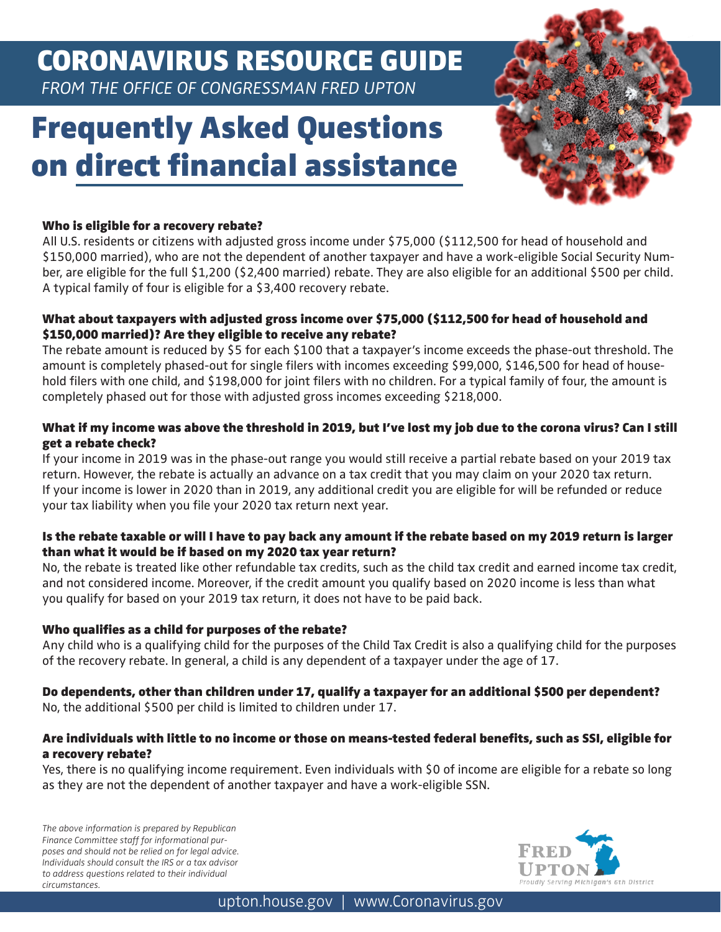# CORONAVIRUS RESOURCE GUIDE

 *FROM THE OFFICE OF CONGRESSMAN FRED UPTON*

## Frequently Asked Questions on direct financial assistance



## Who is eligible for a recovery rebate?

All U.S. residents or citizens with adjusted gross income under \$75,000 (\$112,500 for head of household and \$150,000 married), who are not the dependent of another taxpayer and have a work-eligible Social Security Number, are eligible for the full \$1,200 (\$2,400 married) rebate. They are also eligible for an additional \$500 per child. A typical family of four is eligible for a \$3,400 recovery rebate.

## What about taxpayers with adjusted gross income over \$75,000 (\$112,500 for head of household and \$150,000 married)? Are they eligible to receive any rebate?

The rebate amount is reduced by \$5 for each \$100 that a taxpayer's income exceeds the phase-out threshold. The amount is completely phased-out for single filers with incomes exceeding \$99,000, \$146,500 for head of household filers with one child, and \$198,000 for joint filers with no children. For a typical family of four, the amount is completely phased out for those with adjusted gross incomes exceeding \$218,000.

## What if my income was above the threshold in 2019, but I've lost my job due to the corona virus? Can I still get a rebate check?

If your income in 2019 was in the phase-out range you would still receive a partial rebate based on your 2019 tax return. However, the rebate is actually an advance on a tax credit that you may claim on your 2020 tax return. If your income is lower in 2020 than in 2019, any additional credit you are eligible for will be refunded or reduce your tax liability when you file your 2020 tax return next year.

## Is the rebate taxable or will I have to pay back any amount if the rebate based on my 2019 return is larger than what it would be if based on my 2020 tax year return?

No, the rebate is treated like other refundable tax credits, such as the child tax credit and earned income tax credit, and not considered income. Moreover, if the credit amount you qualify based on 2020 income is less than what you qualify for based on your 2019 tax return, it does not have to be paid back.

#### Who qualifies as a child for purposes of the rebate?

Any child who is a qualifying child for the purposes of the Child Tax Credit is also a qualifying child for the purposes of the recovery rebate. In general, a child is any dependent of a taxpayer under the age of 17.

## Do dependents, other than children under 17, qualify a taxpayer for an additional \$500 per dependent?

No, the additional \$500 per child is limited to children under 17.

#### Are individuals with little to no income or those on means-tested federal benefits, such as SSI, eligible for a recovery rebate?

Yes, there is no qualifying income requirement. Even individuals with \$0 of income are eligible for a rebate so long as they are not the dependent of another taxpayer and have a work-eligible SSN.

*The above information is prepared by Republican Finance Committee staff for informational purposes and should not be relied on for legal advice. Individuals should consult the IRS or a tax advisor to address questions related to their individual circumstances.*